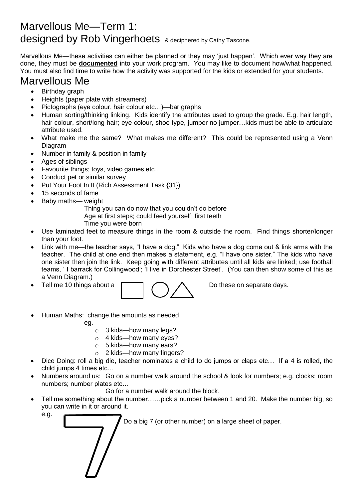## Marvellous Me—Term 1: designed by Rob Vingerhoets & deciphered by Cathy Tascone.

Marvellous Me—these activities can either be planned or they may 'just happen'. Which ever way they are done, they must be **documented** into your work program. You may like to document how/what happened. You must also find time to write how the activity was supported for the kids or extended for your students.

## Marvellous Me

- Birthday graph
- Heights (paper plate with streamers)
- Pictographs (eye colour, hair colour etc…)—bar graphs
- Human sorting/thinking linking. Kids identify the attributes used to group the grade. E.g. hair length, hair colour, short/long hair; eye colour, shoe type, jumper no jumper…kids must be able to articulate attribute used.
- What make me the same? What makes me different? This could be represented using a Venn Diagram
- Number in family & position in family
- Ages of siblings
- Favourite things; toys, video games etc…
- Conduct pet or similar survey
- Put Your Foot In It (Rich Assessment Task {31})
- 15 seconds of fame
- Baby maths— weight

Thing you can do now that you couldn't do before

Age at first steps; could feed yourself; first teeth

- Time you were born
- Use laminated feet to measure things in the room & outside the room. Find things shorter/longer than your foot.
- Link with me—the teacher says, "I have a dog." Kids who have a dog come out & link arms with the teacher. The child at one end then makes a statement, e.g. "I have one sister." The kids who have one sister then join the link. Keep going with different attributes until all kids are linked; use football teams, ' I barrack for Collingwood'; 'I live in Dorchester Street'. (You can then show some of this as a Venn Diagram.)
- 



Tell me 10 things about a  $\Box$   $\Diamond$   $\land$  Do these on separate days.

- Human Maths: change the amounts as needed
	- eg.
		- o 3 kids—how many legs?
		- o 4 kids—how many eyes?
		- o 5 kids—how many ears?
		- o 2 kids—how many fingers?
- Dice Doing: roll a big die, teacher nominates a child to do jumps or claps etc… If a 4 is rolled, the child jumps 4 times etc…
- Numbers around us: Go on a number walk around the school & look for numbers; e.g. clocks; room numbers; number plates etc…

Go for a number walk around the block.

Tell me something about the number......pick a number between 1 and 20. Make the number big, so you can write in it or around it.

e.g.

Do a big 7 (or other number) on a large sheet of paper.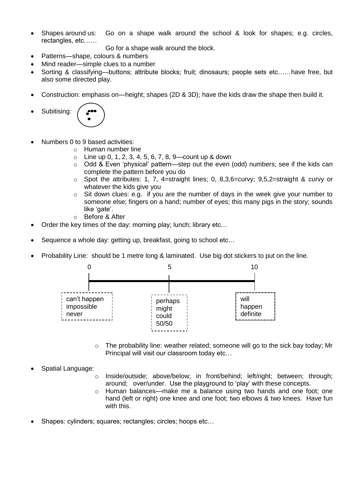• Shapes around us: Go on a shape walk around the school & look for shapes; e.g. circles, rectangles, etc……

Go for a shape walk around the block.

- Patterns—shape, colours & numbers
- Mind reader—simple clues to a number
- Sorting & classifying—buttons; attribute blocks; fruit; dinosaurs; people sets etc……have free, but also some directed play.
- Construction: emphasis on—height; shapes (2D & 3D); have the kids draw the shape then build it.
- Subitising:



- Numbers 0 to 9 based activities:
	- o Human number line
	- $\circ$  Line up 0, 1, 2, 3, 4, 5, 6, 7, 8, 9—count up & down
	- $\circ$  Odd & Even 'physical' pattern—step out the even (odd) numbers; see if the kids can complete the pattern before you do
	- $\circ$  Spot the attributes: 1, 7, 4=straight lines; 0, 8,3,6=curvy; 9,5,2=straight & curvy or whatever the kids give you
	- $\circ$  Sit down clues: e.g. if you are the number of days in the week give your number to someone else; fingers on a hand; number of eyes; this many pigs in the story; sounds like 'gate'.
	- o Before & After
- Order the key times of the day: morning play; lunch; library etc…
- Sequence a whole day: getting up, breakfast, going to school etc…
- Probability Line: should be 1 metre long & laminated. Use big dot stickers to put on the line.



 $\circ$  The probability line: weather related; someone will go to the sick bay today; Mr Principal will visit our classroom today etc…

## • Spatial Language:

- o Inside/outside; above/below; in front/behind; left/right; between; through; around; over/under. Use the playground to 'play' with these concepts.
- o Human balances—make me a balance using two hands and one foot; one hand (left or right) one knee and one foot; two elbows & two knees. Have fun with this.
- Shapes: cylinders; squares; rectangles; circles; hoops etc…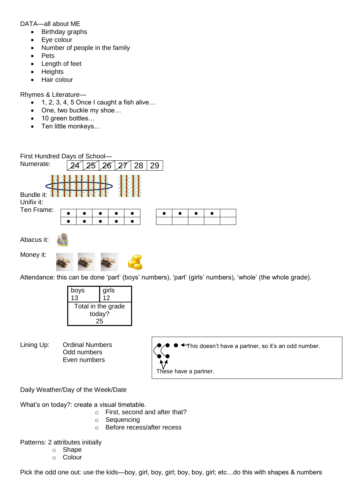DATA—all about ME

- Birthday graphs
- Eye colour
- Number of people in the family
- **Pets**
- Length of feet
- **Heights**
- Hair colour

Rhymes & Literature—

- 1, 2, 3, 4, 5 Once I caught a fish alive…
- One, two buckle my shoe...
- 10 green bottles...
- Ten little monkeys…



Attendance: this can be done 'part' (boys' numbers), 'part' (girls' numbers), 'whole' (the whole grade).

| boys<br>13         | girls<br>12 |
|--------------------|-------------|
| Total in the grade |             |
| today?             |             |
|                    |             |

Lining Up: Ordinal Numbers Odd numbers Even numbers

● ● ● This doesn't have a partner, so it's an odd number.  $\bullet \bullet$ These have a partner.

Daily Weather/Day of the Week/Date

What's on today?: create a visual timetable.

- o First, second and after that?
- o Sequencing
- o Before recess/after recess

Patterns: 2 attributes initially

- o Shape
- o Colour

Pick the odd one out: use the kids—boy, girl, boy, girl; boy, boy, girl; etc…do this with shapes & numbers